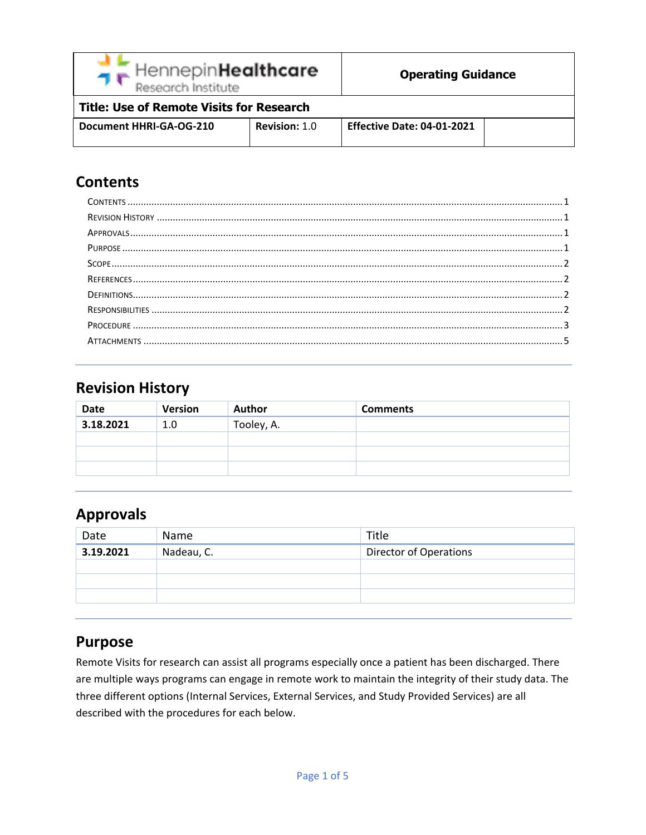| グビ | HennepinHealthcare |
|----|--------------------|
|    | Research Institute |

# **Title: Use of Remote Visits for Research**

| Document HHRI-GA-OG-210 | <b>Revision: 1.0</b> | Effective Date: 04-01-2021 |  |
|-------------------------|----------------------|----------------------------|--|
|                         |                      |                            |  |

# <span id="page-0-0"></span>**Contents**

# <span id="page-0-1"></span>**Revision History**

| <b>Date</b> | <b>Version</b> | <b>Author</b> | <b>Comments</b> |
|-------------|----------------|---------------|-----------------|
| 3.18.2021   | 1.0            | Tooley, A.    |                 |
|             |                |               |                 |
|             |                |               |                 |
|             |                |               |                 |

# <span id="page-0-2"></span>**Approvals**

| Date      | Name       | Title                         |
|-----------|------------|-------------------------------|
| 3.19.2021 | Nadeau, C. | <b>Director of Operations</b> |
|           |            |                               |
|           |            |                               |
|           |            |                               |

### <span id="page-0-3"></span>**Purpose**

Remote Visits for research can assist all programs especially once a patient has been discharged. There are multiple ways programs can engage in remote work to maintain the integrity of their study data. The three different options (Internal Services, External Services, and Study Provided Services) are all described with the procedures for each below.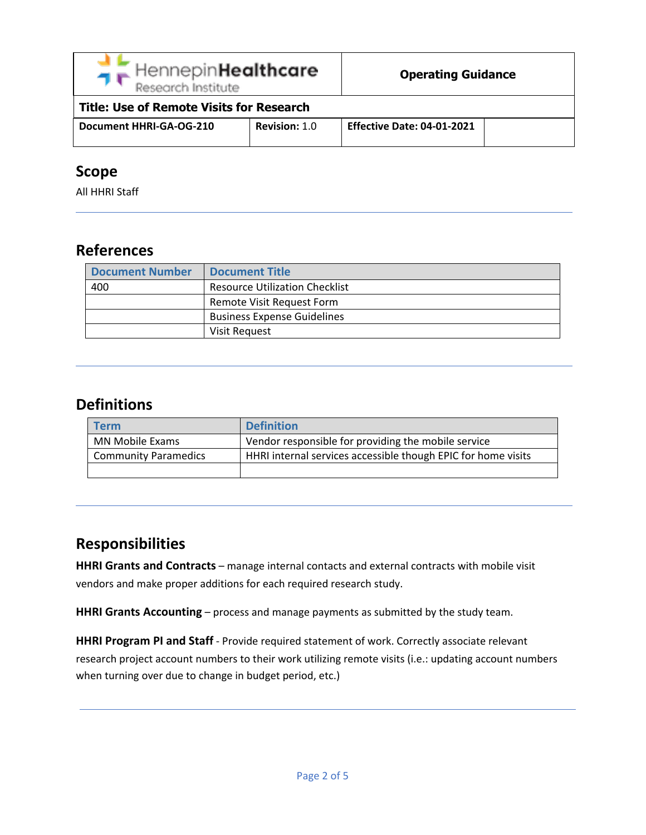| HennepinHealthcare<br>Research Institute |  |
|------------------------------------------|--|
|------------------------------------------|--|

| <b>Title: Use of Remote Visits for Research</b> |                      |                                   |  |
|-------------------------------------------------|----------------------|-----------------------------------|--|
| Document HHRI-GA-OG-210                         | <b>Revision: 1.0</b> | <b>Effective Date: 04-01-2021</b> |  |

#### <span id="page-1-0"></span>**Scope**

All HHRI Staff

#### <span id="page-1-1"></span>**References**

| <b>Document Number</b> | <b>Document Title</b>                 |
|------------------------|---------------------------------------|
| 400                    | <b>Resource Utilization Checklist</b> |
|                        | Remote Visit Request Form             |
|                        | <b>Business Expense Guidelines</b>    |
|                        | Visit Request                         |

# <span id="page-1-2"></span>**Definitions**

| <b>Term</b>                 | <b>Definition</b>                                             |
|-----------------------------|---------------------------------------------------------------|
| <b>MN Mobile Exams</b>      | Vendor responsible for providing the mobile service           |
| <b>Community Paramedics</b> | HHRI internal services accessible though EPIC for home visits |
|                             |                                                               |

# <span id="page-1-3"></span>**Responsibilities**

**HHRI Grants and Contracts** – manage internal contacts and external contracts with mobile visit vendors and make proper additions for each required research study.

**HHRI Grants Accounting** – process and manage payments as submitted by the study team.

<span id="page-1-4"></span>**HHRI Program PI and Staff** - Provide required statement of work. Correctly associate relevant research project account numbers to their work utilizing remote visits (i.e.: updating account numbers when turning over due to change in budget period, etc.)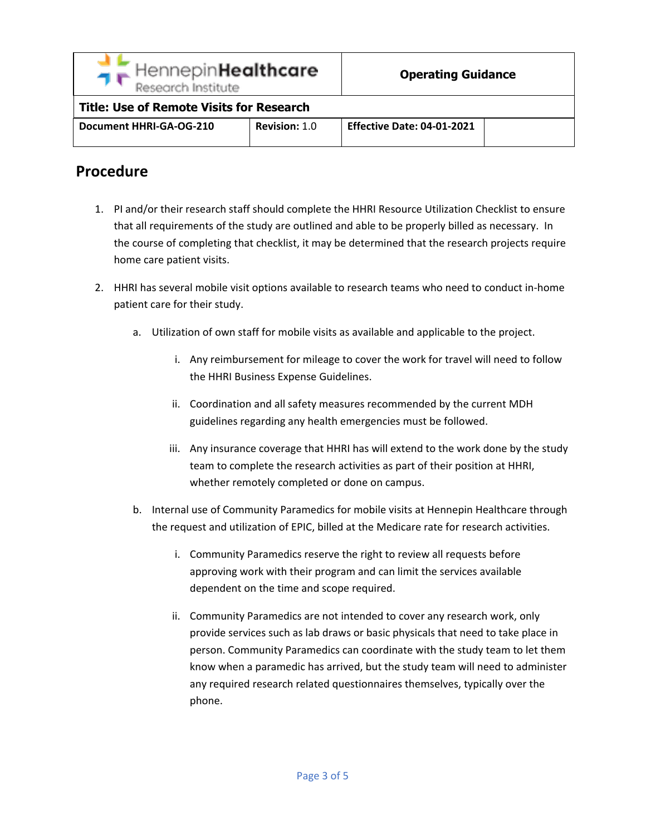

#### **Title: Use of Remote Visits for Research**

| Document HHRI-GA-OG-210 | <b>Revision: 1.0</b> | <b>Effective Date: 04-01-2021</b> |  |
|-------------------------|----------------------|-----------------------------------|--|
|                         |                      |                                   |  |

#### **Procedure**

- 1. PI and/or their research staff should complete the HHRI Resource Utilization Checklist to ensure that all requirements of the study are outlined and able to be properly billed as necessary. In the course of completing that checklist, it may be determined that the research projects require home care patient visits.
- 2. HHRI has several mobile visit options available to research teams who need to conduct in-home patient care for their study.
	- a. Utilization of own staff for mobile visits as available and applicable to the project.
		- i. Any reimbursement for mileage to cover the work for travel will need to follow the HHRI Business Expense Guidelines.
		- ii. Coordination and all safety measures recommended by the current MDH guidelines regarding any health emergencies must be followed.
		- iii. Any insurance coverage that HHRI has will extend to the work done by the study team to complete the research activities as part of their position at HHRI, whether remotely completed or done on campus.
	- b. Internal use of Community Paramedics for mobile visits at Hennepin Healthcare through the request and utilization of EPIC, billed at the Medicare rate for research activities.
		- i. Community Paramedics reserve the right to review all requests before approving work with their program and can limit the services available dependent on the time and scope required.
		- ii. Community Paramedics are not intended to cover any research work, only provide services such as lab draws or basic physicals that need to take place in person. Community Paramedics can coordinate with the study team to let them know when a paramedic has arrived, but the study team will need to administer any required research related questionnaires themselves, typically over the phone.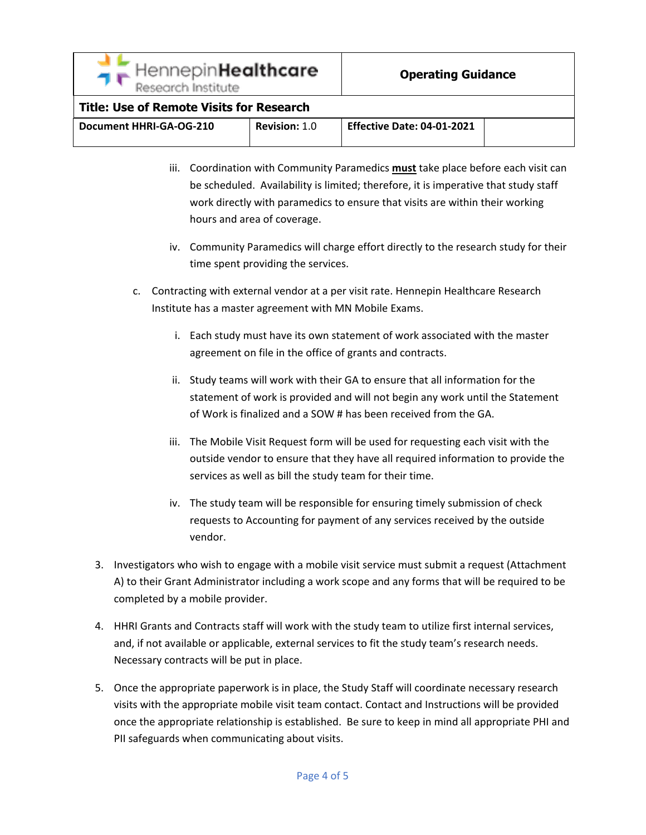#### **Title: Use of Remote Visits for Research**

| <b>Effective Date: 04-01-2021</b><br>Document HHRI-GA-OG-210<br><b>Revision: 1.0</b> |  |
|--------------------------------------------------------------------------------------|--|
|--------------------------------------------------------------------------------------|--|

- iii. Coordination with Community Paramedics **must** take place before each visit can be scheduled. Availability is limited; therefore, it is imperative that study staff work directly with paramedics to ensure that visits are within their working hours and area of coverage.
- iv. Community Paramedics will charge effort directly to the research study for their time spent providing the services.
- c. Contracting with external vendor at a per visit rate. Hennepin Healthcare Research Institute has a master agreement with MN Mobile Exams.
	- i. Each study must have its own statement of work associated with the master agreement on file in the office of grants and contracts.
	- ii. Study teams will work with their GA to ensure that all information for the statement of work is provided and will not begin any work until the Statement of Work is finalized and a SOW # has been received from the GA.
	- iii. The Mobile Visit Request form will be used for requesting each visit with the outside vendor to ensure that they have all required information to provide the services as well as bill the study team for their time.
	- iv. The study team will be responsible for ensuring timely submission of check requests to Accounting for payment of any services received by the outside vendor.
- 3. Investigators who wish to engage with a mobile visit service must submit a request (Attachment A) to their Grant Administrator including a work scope and any forms that will be required to be completed by a mobile provider.
- 4. HHRI Grants and Contracts staff will work with the study team to utilize first internal services, and, if not available or applicable, external services to fit the study team's research needs. Necessary contracts will be put in place.
- 5. Once the appropriate paperwork is in place, the Study Staff will coordinate necessary research visits with the appropriate mobile visit team contact. Contact and Instructions will be provided once the appropriate relationship is established. Be sure to keep in mind all appropriate PHI and PII safeguards when communicating about visits.